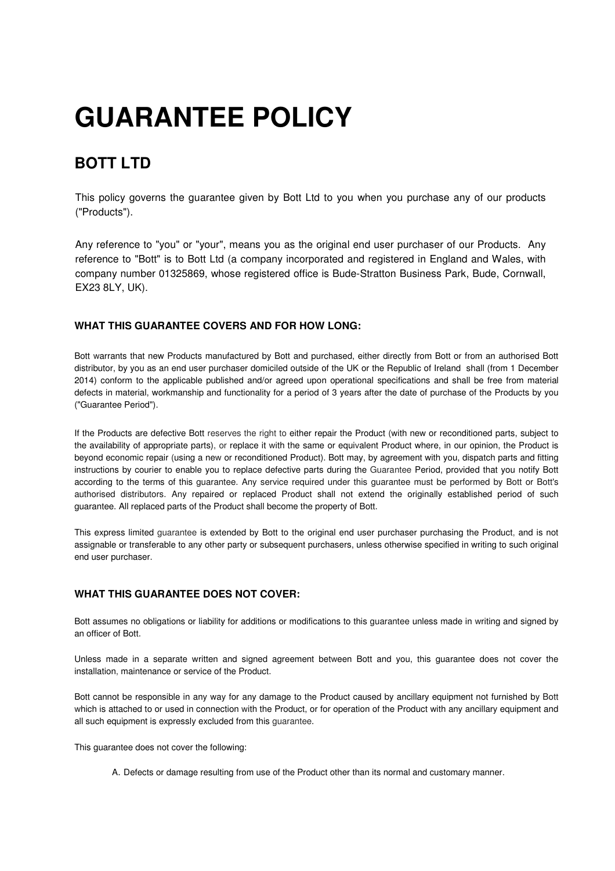# **GUARANTEE POLICY**

# **BOTT LTD**

This policy governs the guarantee given by Bott Ltd to you when you purchase any of our products ("Products").

Any reference to "you" or "your", means you as the original end user purchaser of our Products. Any reference to "Bott" is to Bott Ltd (a company incorporated and registered in England and Wales, with company number 01325869, whose registered office is Bude-Stratton Business Park, Bude, Cornwall, EX23 8LY, UK).

## **WHAT THIS GUARANTEE COVERS AND FOR HOW LONG:**

Bott warrants that new Products manufactured by Bott and purchased, either directly from Bott or from an authorised Bott distributor, by you as an end user purchaser domiciled outside of the UK or the Republic of Ireland shall (from 1 December 2014) conform to the applicable published and/or agreed upon operational specifications and shall be free from material defects in material, workmanship and functionality for a period of 3 years after the date of purchase of the Products by you ("Guarantee Period").

If the Products are defective Bott reserves the right to either repair the Product (with new or reconditioned parts, subject to the availability of appropriate parts), or replace it with the same or equivalent Product where, in our opinion, the Product is beyond economic repair (using a new or reconditioned Product). Bott may, by agreement with you, dispatch parts and fitting instructions by courier to enable you to replace defective parts during the Guarantee Period, provided that you notify Bott according to the terms of this guarantee. Any service required under this guarantee must be performed by Bott or Bott's authorised distributors. Any repaired or replaced Product shall not extend the originally established period of such guarantee. All replaced parts of the Product shall become the property of Bott.

This express limited guarantee is extended by Bott to the original end user purchaser purchasing the Product, and is not assignable or transferable to any other party or subsequent purchasers, unless otherwise specified in writing to such original end user purchaser.

# **WHAT THIS GUARANTEE DOES NOT COVER:**

Bott assumes no obligations or liability for additions or modifications to this guarantee unless made in writing and signed by an officer of Bott.

Unless made in a separate written and signed agreement between Bott and you, this guarantee does not cover the installation, maintenance or service of the Product.

Bott cannot be responsible in any way for any damage to the Product caused by ancillary equipment not furnished by Bott which is attached to or used in connection with the Product, or for operation of the Product with any ancillary equipment and all such equipment is expressly excluded from this guarantee.

This guarantee does not cover the following:

A. Defects or damage resulting from use of the Product other than its normal and customary manner.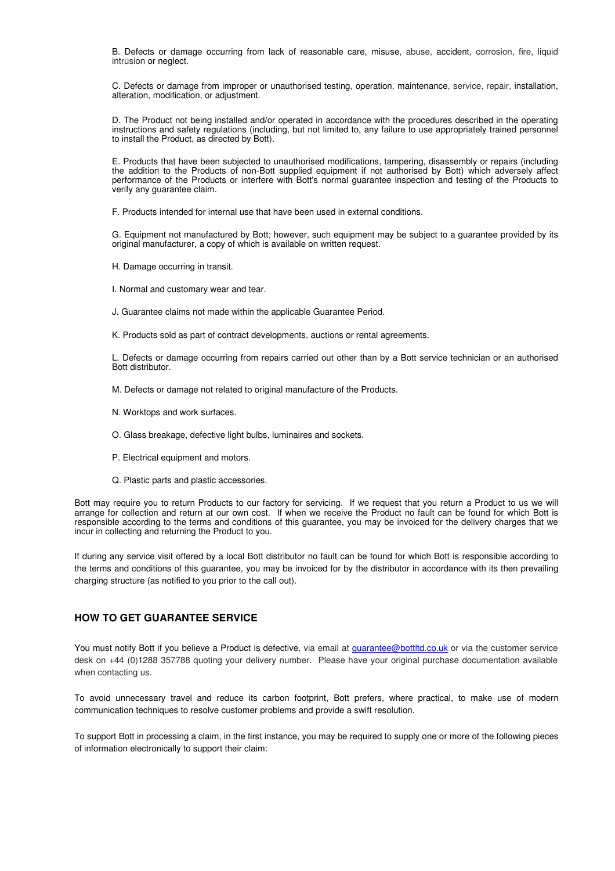B. Defects or damage occurring from lack of reasonable care, misuse, abuse, accident, corrosion, fire, liquid intrusion or neglect.

C. Defects or damage from improper or unauthorised testing, operation, maintenance, service, repair, installation, alteration, modification, or adjustment.

D. The Product not being installed and/or operated in accordance with the procedures described in the operating instructions and safety regulations (including, but not limited to, any failure to use appropriately trained personnel to install the Product, as directed by Bott).

E. Products that have been subjected to unauthorised modifications, tampering, disassembly or repairs (including the addition to the Products of non-Bott supplied equipment if not authorised by Bott) which adversely affect performance of the Products or interfere with Bott's normal guarantee inspection and testing of the Products to verify any guarantee claim.

F. Products intended for internal use that have been used in external conditions.

G. Equipment not manufactured by Bott; however, such equipment may be subject to a guarantee provided by its original manufacturer, a copy of which is available on written request.

H. Damage occurring in transit.

I. Normal and customary wear and tear.

J. Guarantee claims not made within the applicable Guarantee Period.

K. Products sold as part of contract developments, auctions or rental agreements.

L. Defects or damage occurring from repairs carried out other than by a Bott service technician or an authorised Bott distributor.

M. Defects or damage not related to original manufacture of the Products.

- N. Worktops and work surfaces.
- O. Glass breakage, defective light bulbs, luminaires and sockets.
- P. Electrical equipment and motors.
- Q. Plastic parts and plastic accessories.

Bott may require you to return Products to our factory for servicing. If we request that you return a Product to us we will arrange for collection and return at our own cost. If when we receive the Product no fault can be found for which Bott is responsible according to the terms and conditions of this guarantee, you may be invoiced for the delivery charges that we incur in collecting and returning the Product to you.

If during any service visit offered by a local Bott distributor no fault can be found for which Bott is responsible according to the terms and conditions of this guarantee, you may be invoiced for by the distributor in accordance with its then prevailing charging structure (as notified to you prior to the call out).

# **HOW TO GET GUARANTEE SERVICE**

You must notify Bott if you believe a Product is defective, via email at **guarantee@bottltd.co.uk** or via the customer service desk on +44 (0)1288 357788 quoting your delivery number. Please have your original purchase documentation available when contacting us.

To avoid unnecessary travel and reduce its carbon footprint, Bott prefers, where practical, to make use of modern communication techniques to resolve customer problems and provide a swift resolution.

To support Bott in processing a claim, in the first instance, you may be required to supply one or more of the following pieces of information electronically to support their claim: